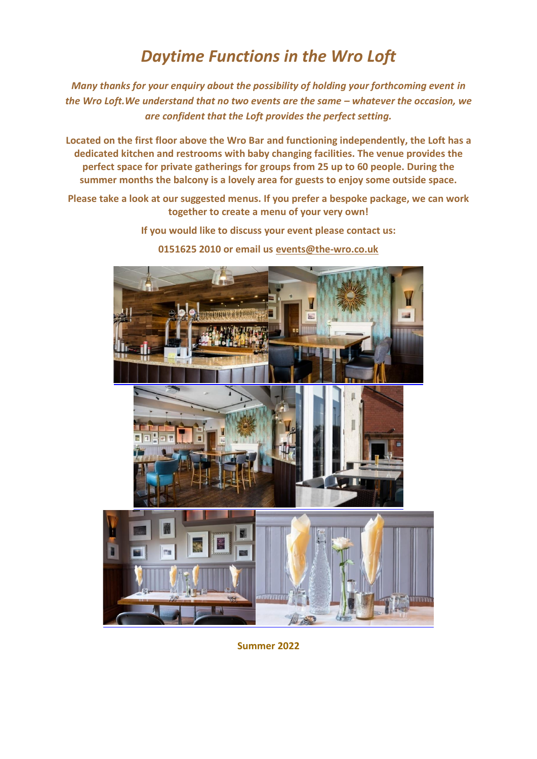# *Daytime Functions in the Wro Loft*

*Many thanks for your enquiry about the possibility of holding your forthcoming event in the* Wro Loft. We understand that no two events are the same – whatever the occasion, we *are confident that the Loft provides the perfect setting.*

**Located on the first floor above the Wro Bar and functioning independently, the Loft has a dedicated kitchen and restrooms with baby changing facilities. The venue provides the perfect space for private gatherings for groups from 25 up to 60 people. During the summer months the balcony is a lovely area for guests to enjoy some outside space.**

**Please take a look at our suggested menus. If you prefer a bespoke package, we can work together to create a menu of your very own!**

**If you would like to discuss your event please contact us:** 

**0151625 2010 or email us [events@the-wro.co.uk](mailto:events@the-wro.co.uk)**



**Summer 2022**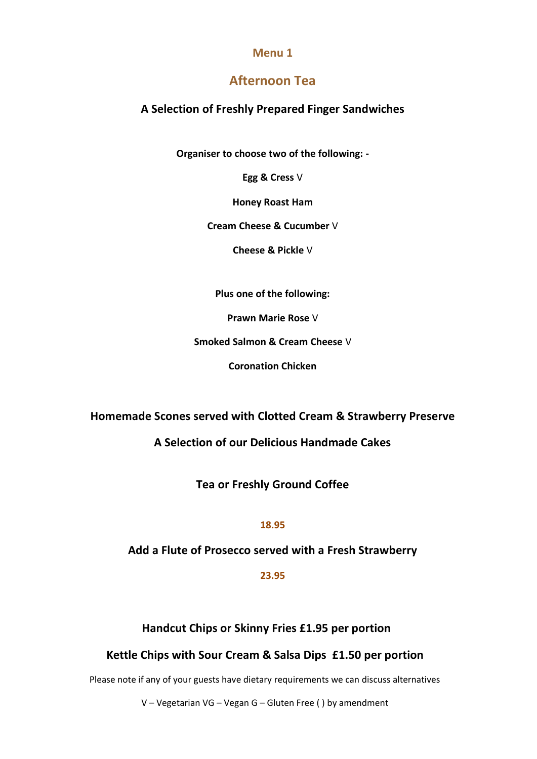# **Afternoon Tea**

# **A Selection of Freshly Prepared Finger Sandwiches**

**Organiser to choose two of the following: -**

**Egg & Cress** V

**Honey Roast Ham** 

**Cream Cheese & Cucumber** V

**Cheese & Pickle** V

**Plus one of the following:** 

**Prawn Marie Rose** V

**Smoked Salmon & Cream Cheese** V

**Coronation Chicken** 

**Homemade Scones served with Clotted Cream & Strawberry Preserve**

**A Selection of our Delicious Handmade Cakes**

**Tea or Freshly Ground Coffee**

#### **18.95**

**Add a Flute of Prosecco served with a Fresh Strawberry**

**23.95** 

**Handcut Chips or Skinny Fries £1.95 per portion** 

# **Kettle Chips with Sour Cream & Salsa Dips £1.50 per portion**

Please note if any of your guests have dietary requirements we can discuss alternatives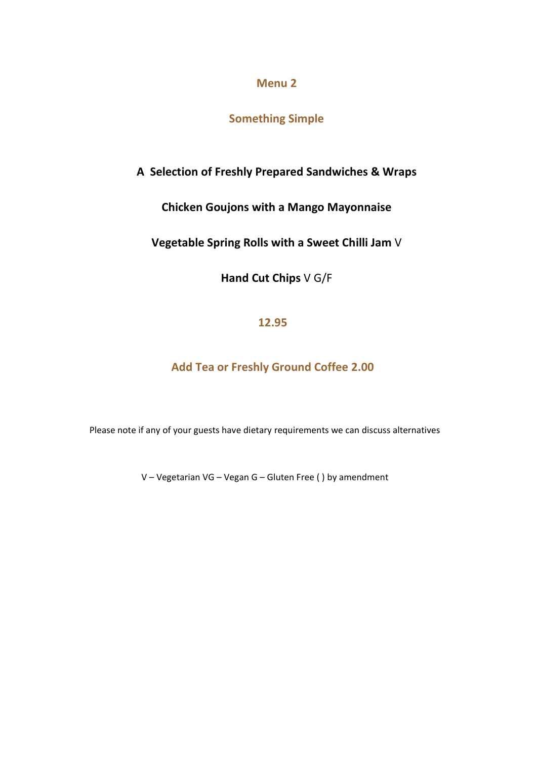**Something Simple**

**A Selection of Freshly Prepared Sandwiches & Wraps**

**Chicken Goujons with a Mango Mayonnaise**

**Vegetable Spring Rolls with a Sweet Chilli Jam** V

**Hand Cut Chips** V G/F

**12.95**

**Add Tea or Freshly Ground Coffee 2.00**

Please note if any of your guests have dietary requirements we can discuss alternatives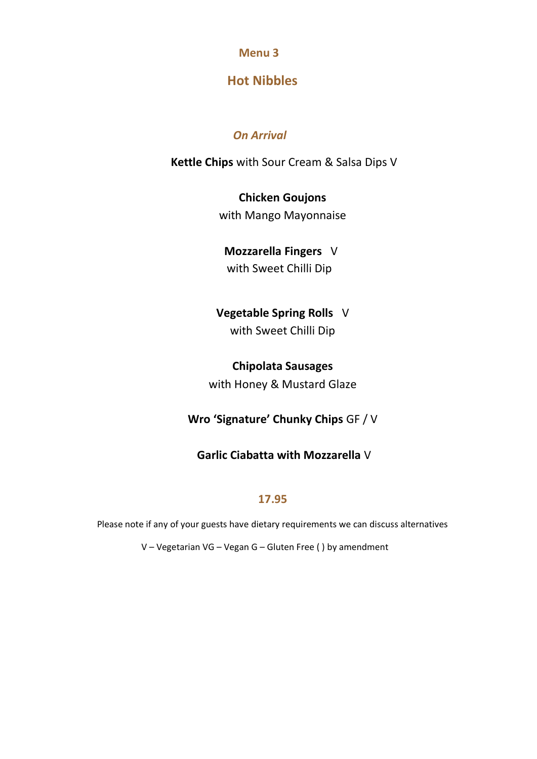# **Hot Nibbles**

# *On Arrival*

**Kettle Chips** with Sour Cream & Salsa Dips V

# **Chicken Goujons**

with Mango Mayonnaise

# **Mozzarella Fingers** V

with Sweet Chilli Dip

# **Vegetable Spring Rolls** V

with Sweet Chilli Dip

# **Chipolata Sausages**

with Honey & Mustard Glaze

# **Wro 'Signature' Chunky Chips** GF / V

# **Garlic Ciabatta with Mozzarella** V

# **17.95**

Please note if any of your guests have dietary requirements we can discuss alternatives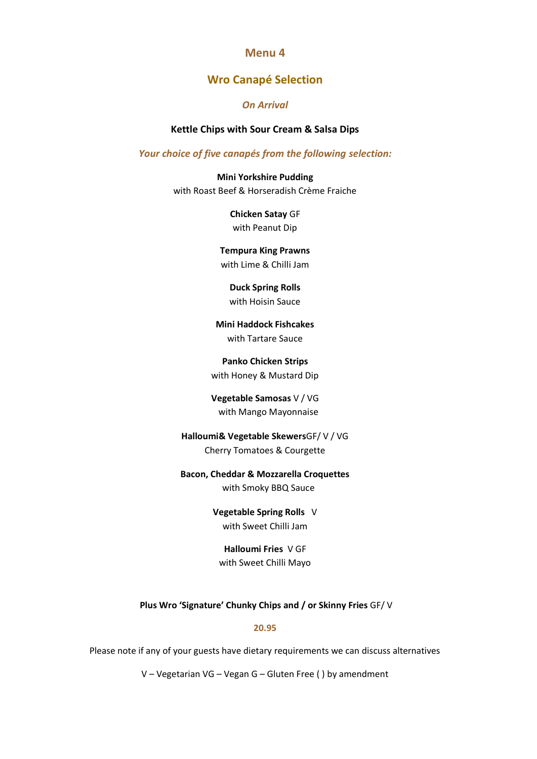# **Wro Canapé Selection**

#### *On Arrival*

#### **Kettle Chips with Sour Cream & Salsa Dips**

#### *Your choice of five canapés from the following selection:*

**Mini Yorkshire Pudding** with Roast Beef & Horseradish Crème Fraiche

> **Chicken Satay** GF with Peanut Dip

## **Tempura King Prawns**

with Lime & Chilli Jam

**Duck Spring Rolls** with Hoisin Sauce

**Mini Haddock Fishcakes** with Tartare Sauce

**Panko Chicken Strips** with Honey & Mustard Dip

**Vegetable Samosas** V / VG with Mango Mayonnaise

## **Halloumi& Vegetable Skewers**GF/ V / VG Cherry Tomatoes & Courgette

#### **Bacon, Cheddar & Mozzarella Croquettes**

with Smoky BBQ Sauce

**Vegetable Spring Rolls** V with Sweet Chilli Jam

**Halloumi Fries** V GF with Sweet Chilli Mayo

**Plus Wro 'Signature' Chunky Chips and / or Skinny Fries** GF/ V

#### **20.95**

Please note if any of your guests have dietary requirements we can discuss alternatives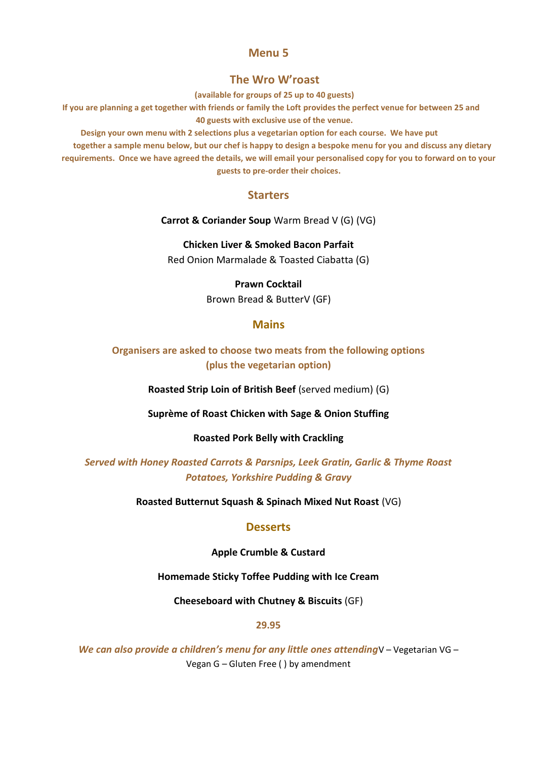#### **The Wro W'roast**

**(available for groups of 25 up to 40 guests)**

**If you are planning a get together with friends or family the Loft provides the perfect venue for between 25 and 40 guests with exclusive use of the venue.**

**Design your own menu with 2 selections plus a vegetarian option for each course. We have put** 

**together a sample menu below, but our chef is happy to design a bespoke menu for you and discuss any dietary requirements. Once we have agreed the details, we will email your personalised copy for you to forward on to your guests to pre-order their choices.**

# **Starters**

**Carrot & Coriander Soup** Warm Bread V (G) (VG)

**Chicken Liver & Smoked Bacon Parfait**  Red Onion Marmalade & Toasted Ciabatta (G)

#### **Prawn Cocktail**

Brown Bread & ButterV (GF)

## **Mains**

**Organisers are asked to choose two meats from the following options (plus the vegetarian option)**

**Roasted Strip Loin of British Beef** (served medium) (G)

**Suprème of Roast Chicken with Sage & Onion Stuffing**

**Roasted Pork Belly with Crackling**

*Served with Honey Roasted Carrots & Parsnips, Leek Gratin, Garlic & Thyme Roast Potatoes, Yorkshire Pudding & Gravy*

**Roasted Butternut Squash & Spinach Mixed Nut Roast** (VG)

#### **Desserts**

**Apple Crumble & Custard** 

**Homemade Sticky Toffee Pudding with Ice Cream** 

**Cheeseboard with Chutney & Biscuits** (GF)

#### **29.95**

*We can also provide a children's menu for any little ones attending*V – Vegetarian VG – Vegan G – Gluten Free ( ) by amendment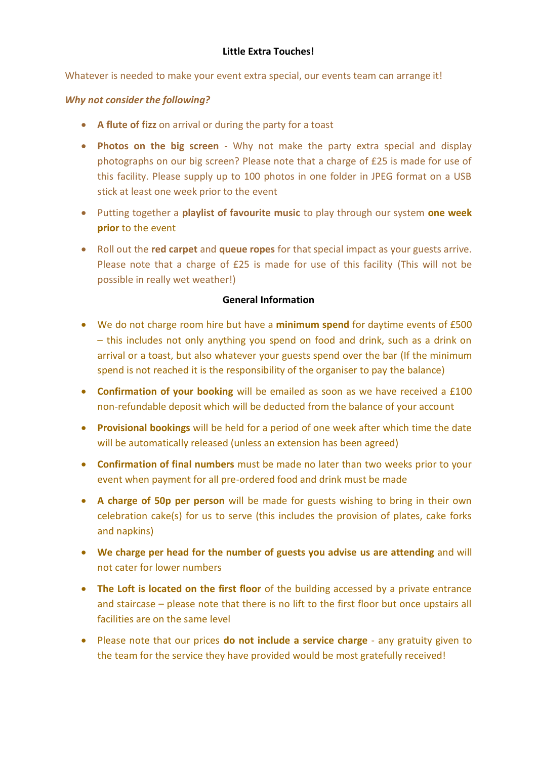## **Little Extra Touches!**

Whatever is needed to make your event extra special, our events team can arrange it!

## *Why not consider the following?*

- **A flute of fizz** on arrival or during the party for a toast
- **Photos on the big screen** Why not make the party extra special and display photographs on our big screen? Please note that a charge of £25 is made for use of this facility. Please supply up to 100 photos in one folder in JPEG format on a USB stick at least one week prior to the event
- Putting together a **playlist of favourite music** to play through our system **one week prior** to the event
- Roll out the **red carpet** and **queue ropes** for that special impact as your guests arrive. Please note that a charge of £25 is made for use of this facility (This will not be possible in really wet weather!)

## **General Information**

- We do not charge room hire but have a **minimum spend** for daytime events of £500 – this includes not only anything you spend on food and drink, such as a drink on arrival or a toast, but also whatever your guests spend over the bar (If the minimum spend is not reached it is the responsibility of the organiser to pay the balance)
- **Confirmation of your booking** will be emailed as soon as we have received a £100 non-refundable deposit which will be deducted from the balance of your account
- **Provisional bookings** will be held for a period of one week after which time the date will be automatically released (unless an extension has been agreed)
- **Confirmation of final numbers** must be made no later than two weeks prior to your event when payment for all pre-ordered food and drink must be made
- **A charge of 50p per person** will be made for guests wishing to bring in their own celebration cake(s) for us to serve (this includes the provision of plates, cake forks and napkins)
- **We charge per head for the number of guests you advise us are attending** and will not cater for lower numbers
- **The Loft is located on the first floor** of the building accessed by a private entrance and staircase – please note that there is no lift to the first floor but once upstairs all facilities are on the same level
- Please note that our prices **do not include a service charge** any gratuity given to the team for the service they have provided would be most gratefully received!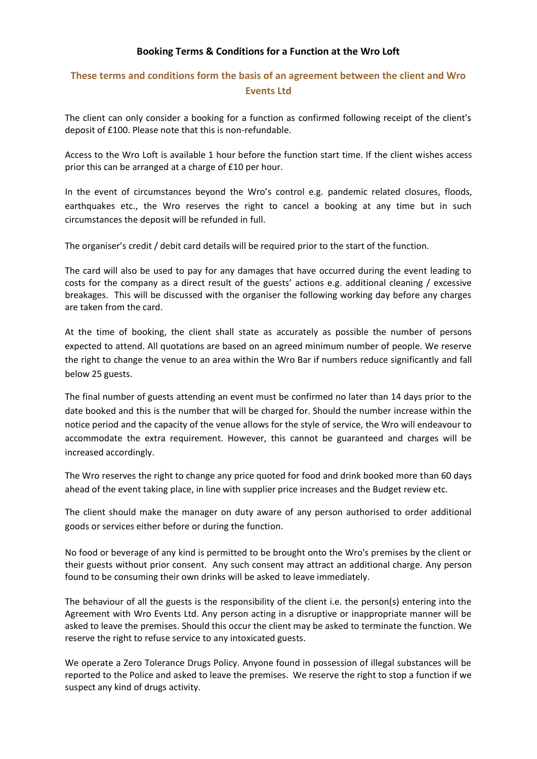#### **Booking Terms & Conditions for a Function at the Wro Loft**

# **These terms and conditions form the basis of an agreement between the client and Wro Events Ltd**

The client can only consider a booking for a function as confirmed following receipt of the client's deposit of £100. Please note that this is non-refundable.

Access to the Wro Loft is available 1 hour before the function start time. If the client wishes access prior this can be arranged at a charge of £10 per hour.

In the event of circumstances beyond the Wro's control e.g. pandemic related closures, floods, earthquakes etc., the Wro reserves the right to cancel a booking at any time but in such circumstances the deposit will be refunded in full.

The organiser's credit / debit card details will be required prior to the start of the function.

The card will also be used to pay for any damages that have occurred during the event leading to costs for the company as a direct result of the guests' actions e.g. additional cleaning / excessive breakages. This will be discussed with the organiser the following working day before any charges are taken from the card.

At the time of booking, the client shall state as accurately as possible the number of persons expected to attend. All quotations are based on an agreed minimum number of people. We reserve the right to change the venue to an area within the Wro Bar if numbers reduce significantly and fall below 25 guests.

The final number of guests attending an event must be confirmed no later than 14 days prior to the date booked and this is the number that will be charged for. Should the number increase within the notice period and the capacity of the venue allows for the style of service, the Wro will endeavour to accommodate the extra requirement. However, this cannot be guaranteed and charges will be increased accordingly.

The Wro reserves the right to change any price quoted for food and drink booked more than 60 days ahead of the event taking place, in line with supplier price increases and the Budget review etc.

The client should make the manager on duty aware of any person authorised to order additional goods or services either before or during the function.

No food or beverage of any kind is permitted to be brought onto the Wro's premises by the client or their guests without prior consent. Any such consent may attract an additional charge. Any person found to be consuming their own drinks will be asked to leave immediately.

The behaviour of all the guests is the responsibility of the client i.e. the person(s) entering into the Agreement with Wro Events Ltd. Any person acting in a disruptive or inappropriate manner will be asked to leave the premises. Should this occur the client may be asked to terminate the function. We reserve the right to refuse service to any intoxicated guests.

We operate a Zero Tolerance Drugs Policy. Anyone found in possession of illegal substances will be reported to the Police and asked to leave the premises. We reserve the right to stop a function if we suspect any kind of drugs activity.